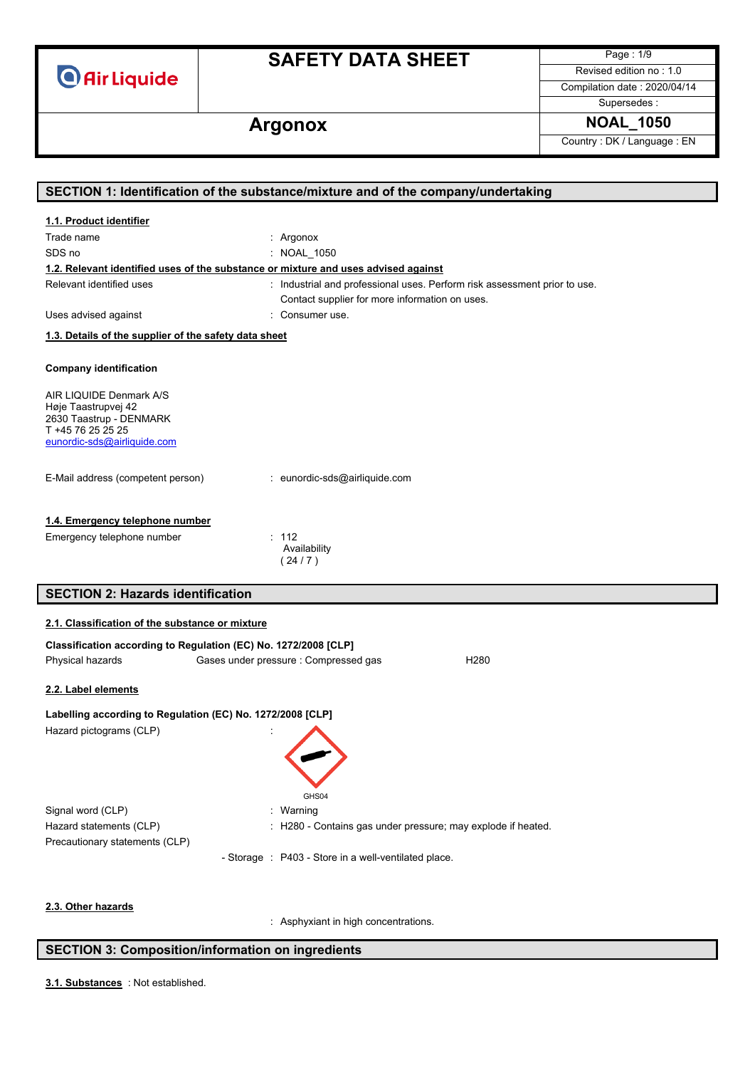**O** Air Liquide

# **SAFETY DATA SHEET**

Page : 1/9 Revised edition no : 1.0

Compilation date : 2020/04/14

Supersedes :

# Argonox **NOAL\_1050**

Country : DK / Language : EN

| SECTION 1: Identification of the substance/mixture and of the company/undertaking  |                                                                           |  |
|------------------------------------------------------------------------------------|---------------------------------------------------------------------------|--|
| 1.1. Product identifier                                                            |                                                                           |  |
| Trade name                                                                         | : Argonox                                                                 |  |
| SDS no                                                                             | : NOAL 1050                                                               |  |
| 1.2. Relevant identified uses of the substance or mixture and uses advised against |                                                                           |  |
| Relevant identified uses                                                           | : Industrial and professional uses. Perform risk assessment prior to use. |  |
|                                                                                    | Contact supplier for more information on uses.                            |  |
| Uses advised against                                                               | : Consumer use.                                                           |  |
| 1.3. Details of the supplier of the safety data sheet                              |                                                                           |  |
|                                                                                    |                                                                           |  |
| <b>Company identification</b>                                                      |                                                                           |  |
| AIR LIQUIDE Denmark A/S                                                            |                                                                           |  |
| Høje Taastrupvej 42                                                                |                                                                           |  |
| 2630 Taastrup - DENMARK<br>T +45 76 25 25 25                                       |                                                                           |  |
| eunordic-sds@airliquide.com                                                        |                                                                           |  |
|                                                                                    |                                                                           |  |
| E-Mail address (competent person)                                                  | : eunordic-sds@airliquide.com                                             |  |
|                                                                                    |                                                                           |  |
| 1.4. Emergency telephone number                                                    |                                                                           |  |
| Emergency telephone number                                                         | : 112                                                                     |  |
|                                                                                    | Availability                                                              |  |
|                                                                                    | (24/7)                                                                    |  |
| <b>SECTION 2: Hazards identification</b>                                           |                                                                           |  |
|                                                                                    |                                                                           |  |
| 2.1. Classification of the substance or mixture                                    |                                                                           |  |
| Classification according to Regulation (EC) No. 1272/2008 [CLP]                    |                                                                           |  |
| Physical hazards                                                                   | Gases under pressure : Compressed gas<br>H <sub>280</sub>                 |  |
|                                                                                    |                                                                           |  |
| 2.2. Label elements                                                                |                                                                           |  |
| Labelling according to Regulation (EC) No. 1272/2008 [CLP]                         |                                                                           |  |
| Hazard pictograms (CLP)                                                            |                                                                           |  |
|                                                                                    |                                                                           |  |
|                                                                                    |                                                                           |  |
|                                                                                    |                                                                           |  |
|                                                                                    | GHS04                                                                     |  |
| Signal word (CLP)                                                                  | : Warning                                                                 |  |
| Hazard statements (CLP)                                                            | H280 - Contains gas under pressure; may explode if heated.                |  |
| Precautionary statements (CLP)                                                     |                                                                           |  |
|                                                                                    | - Storage : P403 - Store in a well-ventilated place.                      |  |
|                                                                                    |                                                                           |  |
| 2.3. Other hazards                                                                 |                                                                           |  |
|                                                                                    | : Asphyxiant in high concentrations.                                      |  |

### **SECTION 3: Composition/information on ingredients**

: Not established. **3.1. Substances**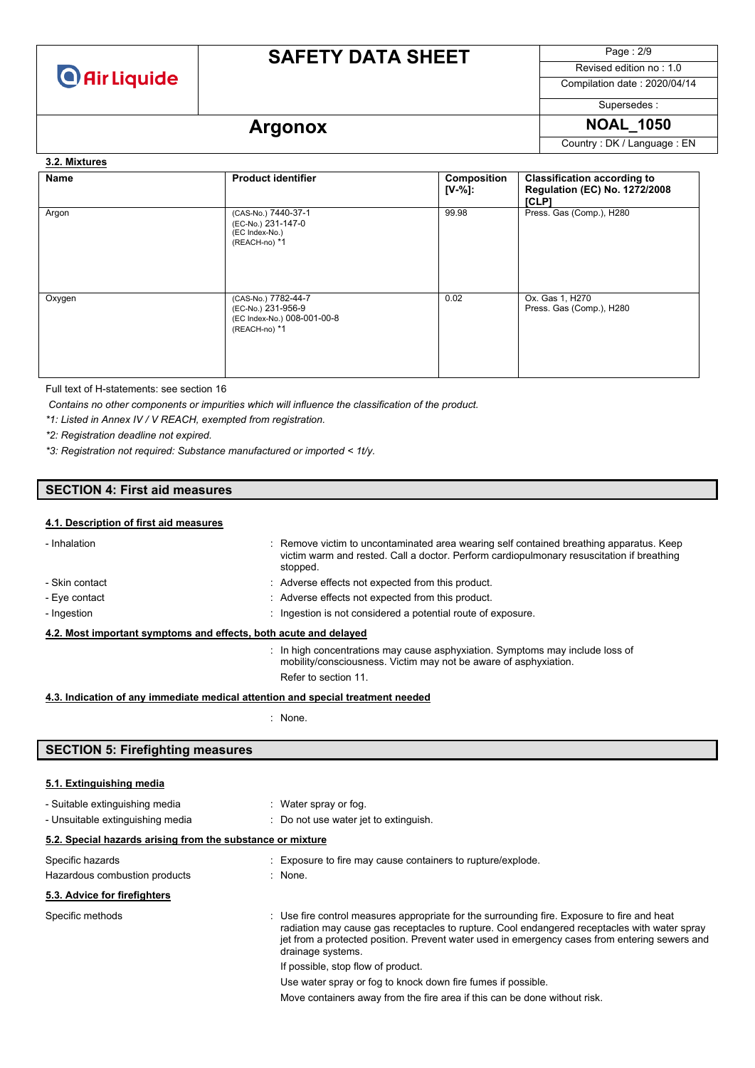

# **SAFETY DATA SHEET**

Page : 2/9

Revised edition no : 1.0 Compilation date : 2020/04/14

Supersedes :

# Argonox **NOAL\_1050**

Country : DK / Language : EN

**3.2. Mixtures** 

| Name   | <b>Product identifier</b>                                                                 | <b>Composition</b><br>$[V-%]:$ | <b>Classification according to</b><br>Regulation (EC) No. 1272/2008<br>[CLP] |
|--------|-------------------------------------------------------------------------------------------|--------------------------------|------------------------------------------------------------------------------|
| Argon  | (CAS-No.) 7440-37-1<br>(EC-No.) 231-147-0<br>(EC Index-No.)<br>(REACH-no) *1              | 99.98                          | Press. Gas (Comp.), H280                                                     |
| Oxygen | (CAS-No.) 7782-44-7<br>(EC-No.) 231-956-9<br>(EC Index-No.) 008-001-00-8<br>(REACH-no) *1 | 0.02                           | Ox. Gas 1, H270<br>Press. Gas (Comp.), H280                                  |

Full text of H-statements: see section 16

*Contains no other components or impurities which will influence the classification of the product.*

*\*1: Listed in Annex IV / V REACH, exempted from registration.*

*\*2: Registration deadline not expired.*

*\*3: Registration not required: Substance manufactured or imported < 1t/y.*

### **SECTION 4: First aid measures**

#### **4.1. Description of first aid measures**

| - Inhalation                                                                    | : Remove victim to uncontaminated area wearing self contained breathing apparatus. Keep<br>victim warm and rested. Call a doctor. Perform cardiopulmonary resuscitation if breathing<br>stopped. |
|---------------------------------------------------------------------------------|--------------------------------------------------------------------------------------------------------------------------------------------------------------------------------------------------|
| - Skin contact                                                                  | : Adverse effects not expected from this product.                                                                                                                                                |
| - Eye contact                                                                   | : Adverse effects not expected from this product.                                                                                                                                                |
| - Ingestion                                                                     | : Ingestion is not considered a potential route of exposure.                                                                                                                                     |
| 4.2. Most important symptoms and effects, both acute and delayed                |                                                                                                                                                                                                  |
|                                                                                 | In high concentrations may cause asphyxiation. Symptoms may include loss of<br>mobility/consciousness. Victim may not be aware of asphyxiation.                                                  |
|                                                                                 | Refer to section 11.                                                                                                                                                                             |
| 4.3. Indication of any immediate medical attention and special treatment needed |                                                                                                                                                                                                  |

: None.

### **SECTION 5: Firefighting measures**

| 5.1. Extinguishing media                                                          |                                                                                                                                                                                                                                                                                                                                                                                                                                                                                                      |
|-----------------------------------------------------------------------------------|------------------------------------------------------------------------------------------------------------------------------------------------------------------------------------------------------------------------------------------------------------------------------------------------------------------------------------------------------------------------------------------------------------------------------------------------------------------------------------------------------|
| - Suitable extinguishing media<br>- Unsuitable extinguishing media                | $\therefore$ Water spray or fog.<br>: Do not use water jet to extinguish.                                                                                                                                                                                                                                                                                                                                                                                                                            |
| 5.2. Special hazards arising from the substance or mixture                        |                                                                                                                                                                                                                                                                                                                                                                                                                                                                                                      |
| Specific hazards<br>Hazardous combustion products<br>5.3. Advice for firefighters | : Exposure to fire may cause containers to rupture/explode.<br>: None.                                                                                                                                                                                                                                                                                                                                                                                                                               |
| Specific methods                                                                  | : Use fire control measures appropriate for the surrounding fire. Exposure to fire and heat<br>radiation may cause gas receptacles to rupture. Cool endangered receptacles with water spray<br>jet from a protected position. Prevent water used in emergency cases from entering sewers and<br>drainage systems.<br>If possible, stop flow of product.<br>Use water spray or fog to knock down fire fumes if possible.<br>Move containers away from the fire area if this can be done without risk. |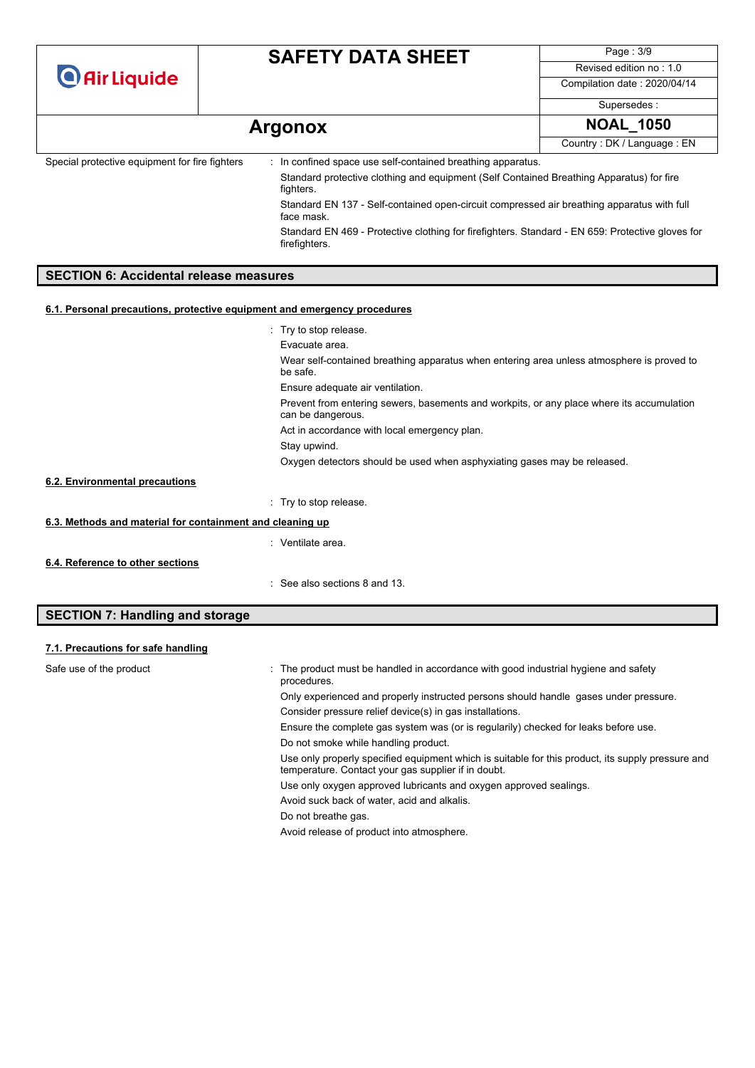| <b>O</b> Air Liquide                           | <b>SAFETY DATA SHEET</b>                                                                                          | Page: 3/9                    |
|------------------------------------------------|-------------------------------------------------------------------------------------------------------------------|------------------------------|
|                                                |                                                                                                                   | Revised edition no: 1.0      |
|                                                |                                                                                                                   | Compilation date: 2020/04/14 |
|                                                |                                                                                                                   | Supersedes:                  |
| <b>Argonox</b>                                 |                                                                                                                   | <b>NOAL_1050</b>             |
|                                                |                                                                                                                   | Country: DK / Language: EN   |
| Special protective equipment for fire fighters | : In confined space use self-contained breathing apparatus.                                                       |                              |
|                                                | Standard protective clothing and equipment (Self Contained Breathing Apparatus) for fire<br>fighters.             |                              |
|                                                | Standard EN 137 - Self-contained open-circuit compressed air breathing apparatus with full<br>face mask.          |                              |
|                                                | Standard EN 469 - Protective clothing for firefighters. Standard - EN 659: Protective gloves for<br>firefighters. |                              |
|                                                |                                                                                                                   |                              |

#### **6.1. Personal precautions, protective equipment and emergency procedures**

|                                                           | : Try to stop release.                                                                                         |
|-----------------------------------------------------------|----------------------------------------------------------------------------------------------------------------|
|                                                           | Evacuate area.                                                                                                 |
|                                                           | Wear self-contained breathing apparatus when entering area unless atmosphere is proved to<br>be safe.          |
|                                                           | Ensure adequate air ventilation.                                                                               |
|                                                           | Prevent from entering sewers, basements and workpits, or any place where its accumulation<br>can be dangerous. |
|                                                           | Act in accordance with local emergency plan.                                                                   |
|                                                           | Stay upwind.                                                                                                   |
|                                                           | Oxygen detectors should be used when asphyxiating gases may be released.                                       |
| 6.2. Environmental precautions                            |                                                                                                                |
|                                                           | : Try to stop release.                                                                                         |
| 6.3. Methods and material for containment and cleaning up |                                                                                                                |
|                                                           | : Ventilate area.                                                                                              |
| 6.4. Reference to other sections                          |                                                                                                                |
|                                                           | : See also sections 8 and 13.                                                                                  |

## **SECTION 7: Handling and storage**

| 7.1. Precautions for safe handling |                                                                                                                                                          |
|------------------------------------|----------------------------------------------------------------------------------------------------------------------------------------------------------|
| Safe use of the product            | : The product must be handled in accordance with good industrial hygiene and safety<br>procedures.                                                       |
|                                    | Only experienced and properly instructed persons should handle gases under pressure.                                                                     |
|                                    | Consider pressure relief device(s) in gas installations.                                                                                                 |
|                                    | Ensure the complete gas system was (or is regularily) checked for leaks before use.                                                                      |
|                                    | Do not smoke while handling product.                                                                                                                     |
|                                    | Use only properly specified equipment which is suitable for this product, its supply pressure and<br>temperature. Contact your gas supplier if in doubt. |
|                                    | Use only oxygen approved lubricants and oxygen approved sealings.                                                                                        |
|                                    | Avoid suck back of water, acid and alkalis.                                                                                                              |
|                                    | Do not breathe gas.                                                                                                                                      |
|                                    | Avoid release of product into atmosphere.                                                                                                                |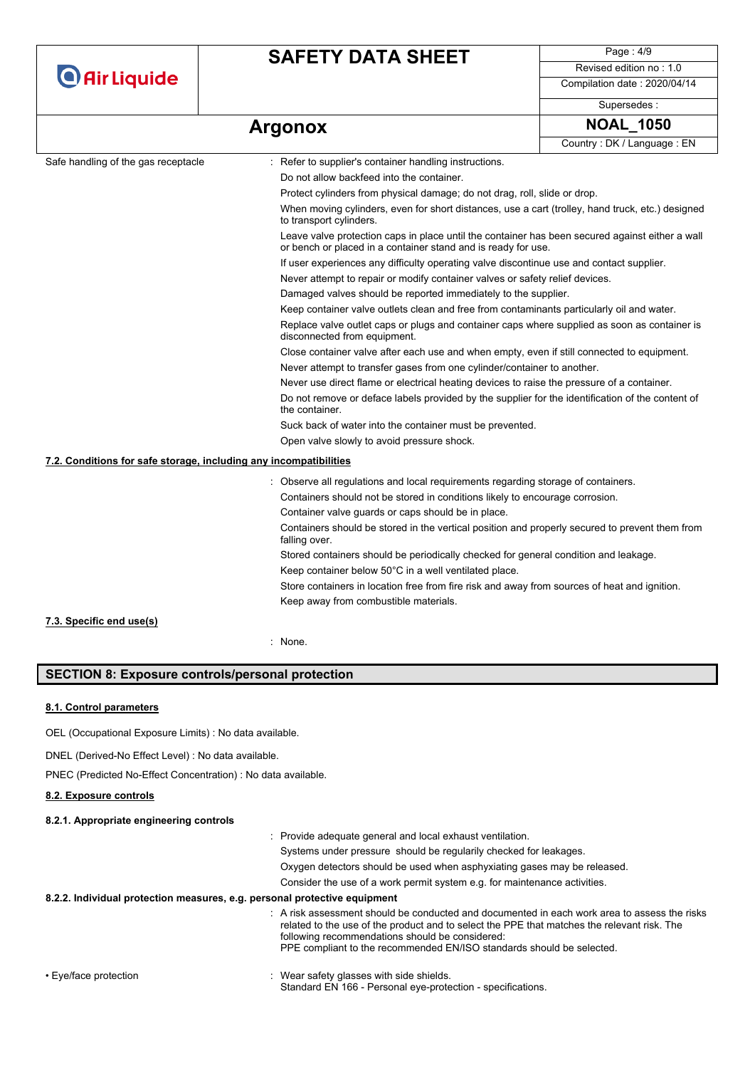|                                                                   | <b>SAFETY DATA SHEET</b>                                                                                                                                         | Page: 4/9                                                                                      |  |
|-------------------------------------------------------------------|------------------------------------------------------------------------------------------------------------------------------------------------------------------|------------------------------------------------------------------------------------------------|--|
| <b>O</b> Air Liquide                                              |                                                                                                                                                                  | Revised edition no: 1.0                                                                        |  |
|                                                                   |                                                                                                                                                                  | Compilation date: 2020/04/14                                                                   |  |
|                                                                   |                                                                                                                                                                  | Supersedes:                                                                                    |  |
|                                                                   | <b>Argonox</b>                                                                                                                                                   | <b>NOAL_1050</b>                                                                               |  |
|                                                                   |                                                                                                                                                                  | Country: DK / Language: EN                                                                     |  |
| Safe handling of the gas receptacle                               | : Refer to supplier's container handling instructions.                                                                                                           |                                                                                                |  |
|                                                                   | Do not allow backfeed into the container.                                                                                                                        |                                                                                                |  |
|                                                                   | Protect cylinders from physical damage; do not drag, roll, slide or drop.                                                                                        |                                                                                                |  |
|                                                                   | When moving cylinders, even for short distances, use a cart (trolley, hand truck, etc.) designed<br>to transport cylinders.                                      |                                                                                                |  |
|                                                                   | Leave valve protection caps in place until the container has been secured against either a wall<br>or bench or placed in a container stand and is ready for use. |                                                                                                |  |
|                                                                   | If user experiences any difficulty operating valve discontinue use and contact supplier.                                                                         |                                                                                                |  |
|                                                                   | Never attempt to repair or modify container valves or safety relief devices.                                                                                     |                                                                                                |  |
|                                                                   |                                                                                                                                                                  | Damaged valves should be reported immediately to the supplier.                                 |  |
|                                                                   | Keep container valve outlets clean and free from contaminants particularly oil and water.                                                                        |                                                                                                |  |
|                                                                   | disconnected from equipment.                                                                                                                                     | Replace valve outlet caps or plugs and container caps where supplied as soon as container is   |  |
|                                                                   |                                                                                                                                                                  | Close container valve after each use and when empty, even if still connected to equipment.     |  |
|                                                                   | Never attempt to transfer gases from one cylinder/container to another.                                                                                          |                                                                                                |  |
|                                                                   | Never use direct flame or electrical heating devices to raise the pressure of a container.                                                                       |                                                                                                |  |
|                                                                   | Do not remove or deface labels provided by the supplier for the identification of the content of<br>the container.                                               |                                                                                                |  |
|                                                                   |                                                                                                                                                                  | Suck back of water into the container must be prevented.                                       |  |
|                                                                   | Open valve slowly to avoid pressure shock.                                                                                                                       |                                                                                                |  |
| 7.2. Conditions for safe storage, including any incompatibilities |                                                                                                                                                                  |                                                                                                |  |
|                                                                   | : Observe all regulations and local requirements regarding storage of containers.                                                                                |                                                                                                |  |
|                                                                   | Containers should not be stored in conditions likely to encourage corrosion.                                                                                     |                                                                                                |  |
|                                                                   | Container valve guards or caps should be in place.                                                                                                               |                                                                                                |  |
|                                                                   | falling over.                                                                                                                                                    | Containers should be stored in the vertical position and properly secured to prevent them from |  |
|                                                                   |                                                                                                                                                                  | Stored containers should be periodically checked for general condition and leakage.            |  |
|                                                                   | Keep container below 50°C in a well ventilated place.                                                                                                            |                                                                                                |  |
|                                                                   | Store containers in location free from fire risk and away from sources of heat and ignition.                                                                     |                                                                                                |  |
|                                                                   | Keep away from combustible materials.                                                                                                                            |                                                                                                |  |
| 7.3. Specific end use(s)                                          |                                                                                                                                                                  |                                                                                                |  |
|                                                                   | None.                                                                                                                                                            |                                                                                                |  |

### **SECTION 8: Exposure controls/personal protection**

#### **8.1. Control parameters**

OEL (Occupational Exposure Limits) : No data available.

DNEL (Derived-No Effect Level) : No data available.

PNEC (Predicted No-Effect Concentration) : No data available.

#### **8.2. Exposure controls**

#### **8.2.1. Appropriate engineering controls**

: Provide adequate general and local exhaust ventilation.

Systems under pressure should be regularily checked for leakages.

Oxygen detectors should be used when asphyxiating gases may be released.

Consider the use of a work permit system e.g. for maintenance activities.

#### **8.2.2. Individual protection measures, e.g. personal protective equipment**

: A risk assessment should be conducted and documented in each work area to assess the risks related to the use of the product and to select the PPE that matches the relevant risk. The following recommendations should be considered: PPE compliant to the recommended EN/ISO standards should be selected.

- 
- Eye/face protection **in the state of the set of the set of the set of the set of the shields** beginning to the shields. Standard EN 166 - Personal eye-protection - specifications.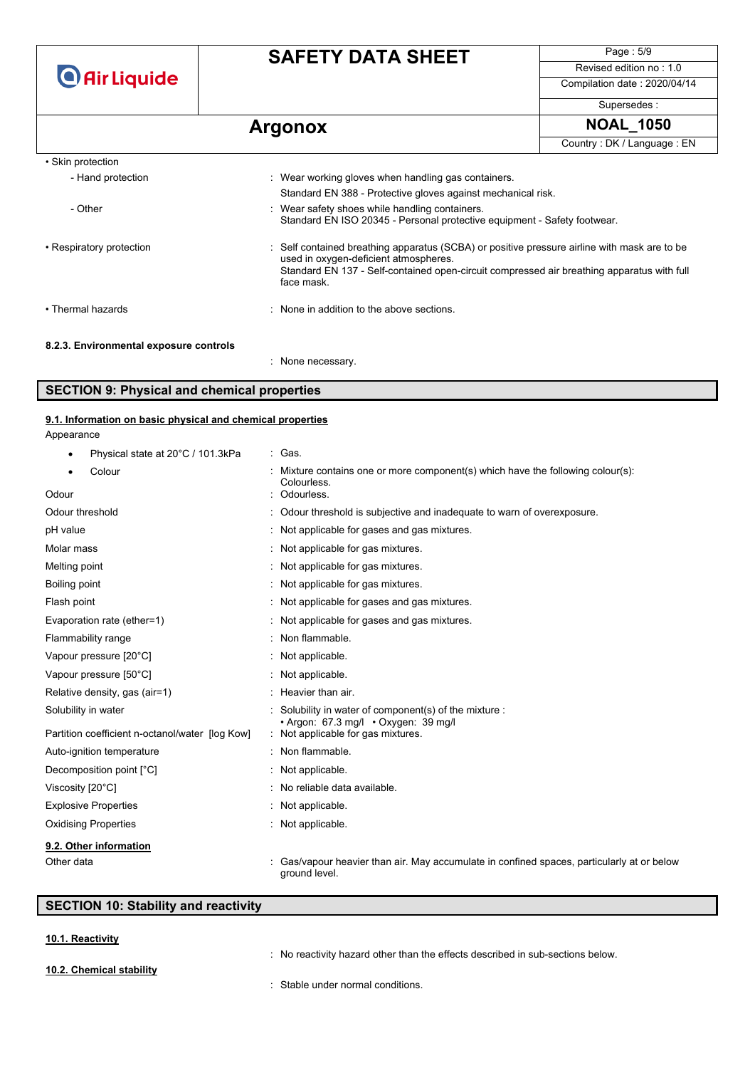|                                        | <b>SAFETY DATA SHEET</b>                                                                                                                                                                                                                          | Page: 5/9                                                    |  |  |
|----------------------------------------|---------------------------------------------------------------------------------------------------------------------------------------------------------------------------------------------------------------------------------------------------|--------------------------------------------------------------|--|--|
| <b>O</b> Air Liquide                   |                                                                                                                                                                                                                                                   | Revised edition no: 1.0                                      |  |  |
|                                        |                                                                                                                                                                                                                                                   | Compilation date: 2020/04/14                                 |  |  |
|                                        |                                                                                                                                                                                                                                                   | Supersedes:                                                  |  |  |
|                                        | <b>Argonox</b>                                                                                                                                                                                                                                    | <b>NOAL 1050</b>                                             |  |  |
|                                        |                                                                                                                                                                                                                                                   | Country: DK / Language: EN                                   |  |  |
| • Skin protection                      |                                                                                                                                                                                                                                                   |                                                              |  |  |
| - Hand protection                      | : Wear working gloves when handling gas containers.                                                                                                                                                                                               |                                                              |  |  |
|                                        |                                                                                                                                                                                                                                                   | Standard EN 388 - Protective gloves against mechanical risk. |  |  |
| - Other                                | Wear safety shoes while handling containers.<br>Standard EN ISO 20345 - Personal protective equipment - Safety footwear.                                                                                                                          |                                                              |  |  |
| • Respiratory protection               | : Self contained breathing apparatus (SCBA) or positive pressure airline with mask are to be<br>used in oxygen-deficient atmospheres.<br>Standard EN 137 - Self-contained open-circuit compressed air breathing apparatus with full<br>face mask. |                                                              |  |  |
| • Thermal hazards                      | . None in addition to the above sections                                                                                                                                                                                                          |                                                              |  |  |
| 8.2.3. Environmental exposure controls |                                                                                                                                                                                                                                                   |                                                              |  |  |

: None necessary.

## **SECTION 9: Physical and chemical properties**

#### **9.1. Information on basic physical and chemical properties**

Appearance

| Physical state at 20°C / 101.3kPa<br>٠          | : Gas.                                                                                                    |
|-------------------------------------------------|-----------------------------------------------------------------------------------------------------------|
| Colour<br>٠                                     | Mixture contains one or more component(s) which have the following colour(s):<br>Colourless.              |
| Odour                                           | Odourless.                                                                                                |
| Odour threshold                                 | Odour threshold is subjective and inadequate to warn of overexposure.                                     |
| pH value                                        | Not applicable for gases and gas mixtures.                                                                |
| Molar mass                                      | Not applicable for gas mixtures.                                                                          |
| Melting point                                   | Not applicable for gas mixtures.                                                                          |
| Boiling point                                   | Not applicable for gas mixtures.                                                                          |
| Flash point                                     | Not applicable for gases and gas mixtures.                                                                |
| Evaporation rate (ether=1)                      | Not applicable for gases and gas mixtures.                                                                |
| Flammability range                              | Non flammable.                                                                                            |
| Vapour pressure [20°C]                          | : Not applicable.                                                                                         |
| Vapour pressure [50°C]                          | Not applicable.                                                                                           |
| Relative density, gas (air=1)                   | Heavier than air.                                                                                         |
| Solubility in water                             | Solubility in water of component(s) of the mixture :                                                      |
| Partition coefficient n-octanol/water [log Kow] | • Argon: 67.3 mg/l • Oxygen: 39 mg/l<br>: Not applicable for gas mixtures.                                |
| Auto-ignition temperature                       | Non flammable.                                                                                            |
| Decomposition point [°C]                        | Not applicable.                                                                                           |
| Viscosity [20°C]                                | No reliable data available.                                                                               |
| <b>Explosive Properties</b>                     | Not applicable.                                                                                           |
| <b>Oxidising Properties</b>                     | Not applicable.                                                                                           |
| 9.2. Other information                          |                                                                                                           |
| Other data                                      | Gas/vapour heavier than air. May accumulate in confined spaces, particularly at or below<br>ground level. |

## **SECTION 10: Stability and reactivity**

#### **10.1. Reactivity**

**10.2. Chemical stability**

: No reactivity hazard other than the effects described in sub-sections below.

: Stable under normal conditions.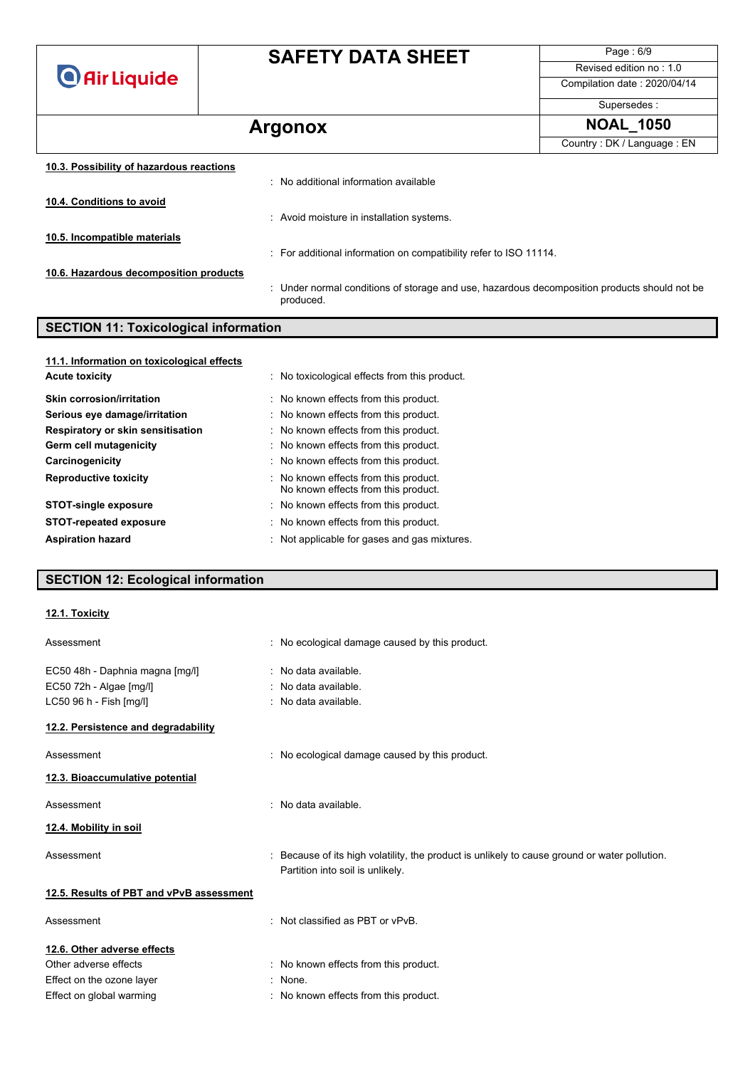**O** Air Liquide

# **SAFETY DATA SHEET**

Page : 6/9 Revised edition no : 1.0

Compilation date : 2020/04/14

#### Supersedes :

# **Argonox NOAL\_1050**

|                                          |                                                                                                           | Country: DK / Language: EN |
|------------------------------------------|-----------------------------------------------------------------------------------------------------------|----------------------------|
| 10.3. Possibility of hazardous reactions |                                                                                                           |                            |
|                                          | : No additional information available                                                                     |                            |
| 10.4. Conditions to avoid                |                                                                                                           |                            |
|                                          | : Avoid moisture in installation systems.                                                                 |                            |
| 10.5. Incompatible materials             |                                                                                                           |                            |
|                                          | : For additional information on compatibility refer to ISO 11114.                                         |                            |
| 10.6. Hazardous decomposition products   |                                                                                                           |                            |
|                                          | : Under normal conditions of storage and use, hazardous decomposition products should not be<br>produced. |                            |

## **SECTION 11: Toxicological information**

| 11.1. Information on toxicological effects |                                                                              |
|--------------------------------------------|------------------------------------------------------------------------------|
| <b>Acute toxicity</b>                      | : No toxicological effects from this product.                                |
| <b>Skin corrosion/irritation</b>           | : No known effects from this product.                                        |
| Serious eye damage/irritation              | : No known effects from this product.                                        |
| Respiratory or skin sensitisation          | : No known effects from this product.                                        |
| Germ cell mutagenicity                     | : No known effects from this product.                                        |
| Carcinogenicity                            | : No known effects from this product.                                        |
| <b>Reproductive toxicity</b>               | : No known effects from this product.<br>No known effects from this product. |
| <b>STOT-single exposure</b>                | : No known effects from this product.                                        |
| <b>STOT-repeated exposure</b>              | : No known effects from this product.                                        |
| <b>Aspiration hazard</b>                   | : Not applicable for gases and gas mixtures.                                 |
|                                            |                                                                              |

## **SECTION 12: Ecological information**

#### **12.1. Toxicity**

| Assessment                                                                            | : No ecological damage caused by this product.                                                                                    |  |
|---------------------------------------------------------------------------------------|-----------------------------------------------------------------------------------------------------------------------------------|--|
| EC50 48h - Daphnia magna [mg/l]<br>EC50 72h - Algae [mg/l]<br>LC50 96 h - Fish [mg/l] | : No data available.<br>: No data available.<br>: No data available.                                                              |  |
| 12.2. Persistence and degradability                                                   |                                                                                                                                   |  |
| Assessment                                                                            | : No ecological damage caused by this product.                                                                                    |  |
| 12.3. Bioaccumulative potential                                                       |                                                                                                                                   |  |
| Assessment                                                                            | : No data available.                                                                                                              |  |
| 12.4. Mobility in soil                                                                |                                                                                                                                   |  |
| Assessment                                                                            | : Because of its high volatility, the product is unlikely to cause ground or water pollution.<br>Partition into soil is unlikely. |  |
| 12.5. Results of PBT and vPvB assessment                                              |                                                                                                                                   |  |
| Assessment                                                                            | : Not classified as PBT or vPvB.                                                                                                  |  |
| 12.6. Other adverse effects                                                           |                                                                                                                                   |  |
| Other adverse effects                                                                 | : No known effects from this product.                                                                                             |  |
| Effect on the ozone layer                                                             | : None.                                                                                                                           |  |
| Effect on global warming                                                              | : No known effects from this product.                                                                                             |  |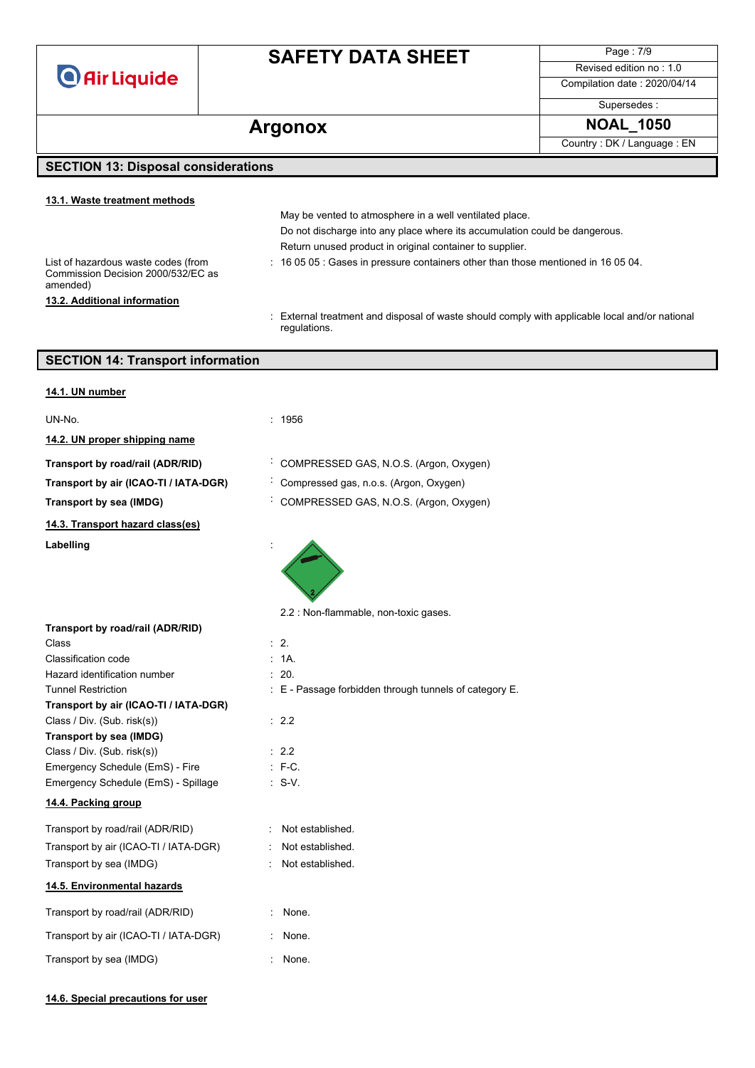**O** Air Liquide

# **SAFETY DATA SHEET**

Page : 7/9 Revised edition no : 1.0

Compilation date : 2020/04/14

Supersedes :

## Argonox **NOAL\_1050**

Country : DK / Language : EN

#### **SECTION 13: Disposal considerations**

#### **13.1. Waste treatment methods**

**13.2. Additional information**

List of hazardous waste codes (from Commission Decision 2000/532/EC as amended)

: 16 05 05 : Gases in pressure containers other than those mentioned in 16 05 04.

Do not discharge into any place where its accumulation could be dangerous.

May be vented to atmosphere in a well ventilated place.

Return unused product in original container to supplier.

: External treatment and disposal of waste should comply with applicable local and/or national regulations.

#### **SECTION 14: Transport information**

| 14.1. UN number                           |                                                        |
|-------------------------------------------|--------------------------------------------------------|
| UN-No.                                    | : 1956                                                 |
| 14.2. UN proper shipping name             |                                                        |
| Transport by road/rail (ADR/RID)          | COMPRESSED GAS, N.O.S. (Argon, Oxygen)                 |
| Transport by air (ICAO-TI / IATA-DGR)     | Compressed gas, n.o.s. (Argon, Oxygen)                 |
| Transport by sea (IMDG)                   | COMPRESSED GAS, N.O.S. (Argon, Oxygen)                 |
| 14.3. Transport hazard class(es)          |                                                        |
| Labelling                                 |                                                        |
|                                           | 2.2 : Non-flammable, non-toxic gases.                  |
| Transport by road/rail (ADR/RID)<br>Class | $\therefore$ 2.                                        |
| Classification code                       | : 1A                                                   |
| Hazard identification number              | : 20.                                                  |
| <b>Tunnel Restriction</b>                 | : E - Passage forbidden through tunnels of category E. |
| Transport by air (ICAO-TI / IATA-DGR)     |                                                        |
| Class / Div. (Sub. risk(s))               | : 2.2                                                  |
| Transport by sea (IMDG)                   |                                                        |
| Class / Div. (Sub. risk(s))               | : 2.2                                                  |
| Emergency Schedule (EmS) - Fire           | $: F-C.$                                               |
| Emergency Schedule (EmS) - Spillage       | $\therefore$ S-V.                                      |
| 14.4. Packing group                       |                                                        |
| Transport by road/rail (ADR/RID)          | : Not established.                                     |
| Transport by air (ICAO-TI / IATA-DGR)     | : Not established.                                     |
| Transport by sea (IMDG)                   | : Not established.                                     |
| 14.5. Environmental hazards               |                                                        |
| Transport by road/rail (ADR/RID)          | None.                                                  |
| Transport by air (ICAO-TI / IATA-DGR)     | None.                                                  |
| Transport by sea (IMDG)                   | None.                                                  |
|                                           |                                                        |

#### **14.6. Special precautions for user**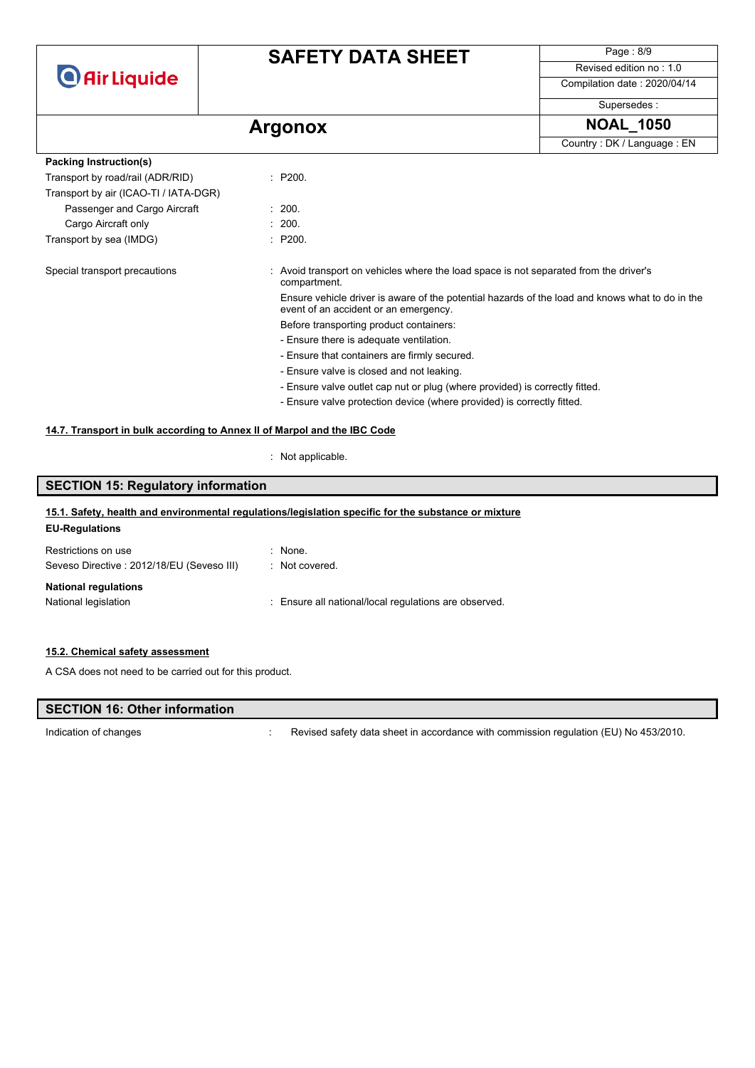

## **SAFETY DATA SHEET**

Page : 8/9 Revised edition no : 1.0

Compilation date : 2020/04/14 Supersedes :

# Argonox **NOAL\_1050**

Country : DK / Language : EN

| Packing Instruction(s)                |  |                                                                                                       |
|---------------------------------------|--|-------------------------------------------------------------------------------------------------------|
| Transport by road/rail (ADR/RID)      |  | : P200.                                                                                               |
| Transport by air (ICAO-TI / IATA-DGR) |  |                                                                                                       |
| Passenger and Cargo Aircraft          |  | : 200.                                                                                                |
| Cargo Aircraft only                   |  | : 200.                                                                                                |
| Transport by sea (IMDG)               |  | : P200.                                                                                               |
| Special transport precautions         |  | : Avoid transport on vehicles where the load space is not separated from the driver's<br>compartment. |
| event of an accident or an emergency. |  | Ensure vehicle driver is aware of the potential hazards of the load and knows what to do in the       |
|                                       |  | Before transporting product containers:                                                               |
|                                       |  | - Ensure there is adequate ventilation.                                                               |
|                                       |  | - Ensure that containers are firmly secured.                                                          |
|                                       |  | - Ensure valve is closed and not leaking.                                                             |
|                                       |  | - Ensure valve outlet cap nut or plug (where provided) is correctly fitted.                           |
|                                       |  | - Ensure valve protection device (where provided) is correctly fitted.                                |

#### **14.7. Transport in bulk according to Annex II of Marpol and the IBC Code**

: Not applicable.

## **SECTION 15: Regulatory information EU-Regulations** Restrictions on use : None. Seveso Directive : 2012/18/EU (Seveso III) : Not covered. **National regulations** National legislation : Ensure all national/local regulations are observed. **15.1. Safety, health and environmental regulations/legislation specific for the substance or mixture**

#### **15.2. Chemical safety assessment**

A CSA does not need to be carried out for this product.

#### **SECTION 16: Other information**

Indication of changes **indication** of changes **in accordance with commission regulation (EU) No 453/2010.**